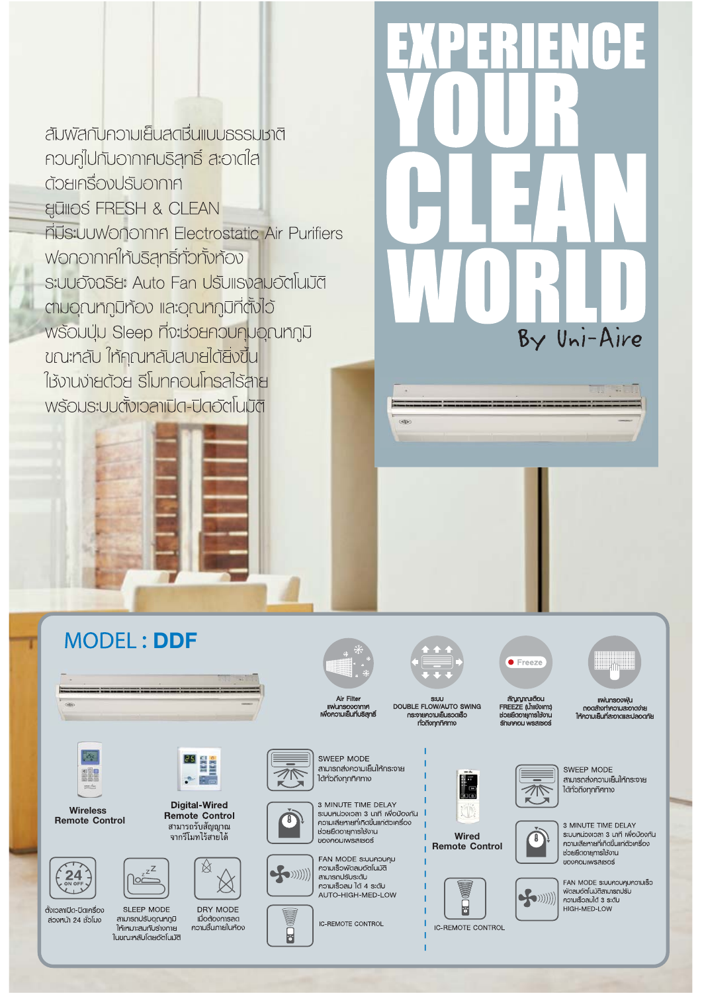สัมพัสกับความเย็นสตชื่นแบบธรรมชาติ ควบคู่ไปกับอากาศบริสุทธิ์ สะอาดใส ต้วยเครื่องปรับอากาศ **ELLINOS FRESH & CLEAN ที่มีระบบฟอกอากาศ Electrostatic Air Purifiers** Wononnninเห้นริสุทธิ์ทั่วทั้งท้อง s:UUOังฉริยะ Auto Fan ปรับแรงลมอัตโนมัติ ตมอุณทภูมิท้อง และอุณทภูมิที่ตั้งไว้ wsouuu Sleep ที่จะช่วยควบคุมอุณหภูมิ ขณะทลับ ใท้คุณทลับสบายได้ยิ่งขึ้น ใช้งานง่ายด้วย รีโมทคอนโทรลไร้สาย พร้อมระบบตั้งเวลาเปิด-ปิดอัตโนมัติ



 $\overline{a}$ 

SIJU<br>DOUBLE FLOW/AUTO SWING 

สัญญาณเตือน FREEZE (น้ำแข้งเกาะ) **รักษาคณ เพรสเหตร์** 

**IIWUnsopWU** 



Wired **Remote Control** 



**IC-REMOTE CONTROL** 



SWFFP MODE สามารถสงความเย็นให้กระจาย ไต้ทั่วถึงทุกทิศทาง





FAN MODE ระบบควบคุมความเร็ว  $\blacktriangleright$  ((((((  $\blacktriangleright$ ความเร็วลมได้ 3 ระดับ HIGH-MED-LOW



**MODEL: DDF** 

Wireless **Remote Control** 





SLEEP MODE สามารถปรับอณหกมิ ให้เหมาะสมกับรางกาย ในขณะหลับโดยอัตโนมัติ



จากรีโมทไร้สายได้



DRY MODE

เมื่อต้องการลด

ารอยเอรา เอยเย<br>ความมื้นภายในท้อง

้<br>หวยยืดอายุการใช้งาน **UOVAOUIWSAIBOS** FAN MODE SIUUNOUNU ความเร็วพัดลมอัตโนมัติ



 $\overline{\boldsymbol{\theta}}$ 

สามารถปรับระดับ ความเร็วลม ได้ 4 ธะตับ AUTO-HIGH-MED-LOW

Air Filter

SWEEP MODE สามารถสงความเย็นให้กระจาย

ได้ทั่วถึงทุกทิศทาง

3 MINUTE TIME DELAY

ระบบหน่วงเวลา 3 นาที เพื่อป้องกัน

ความเสียหายที่เกิดขึ้นแก่ตัวเครื่อง

**IC-REMOTE CONTROL**